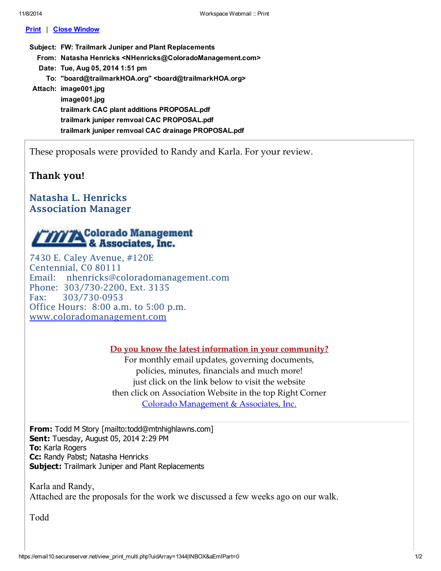## Print | Close Window

Subject: FW: Trailmark Juniper and Plant Replacements From: Natasha Henricks <NHenricks@ColoradoManagement.com> Date: Tue, Aug 05, 2014 1:51 pm To: "board@trailmarkHOA.org" <board@trailmarkHOA.org> Attach: image001.jpg image001.jpg trailmark CAC plant additions PROPOSAL.pdf trailmark juniper remvoal CAC PROPOSAL.pdf trailmark juniper remvoal CAC drainage PROPOSAL.pdf

These proposals were provided to Randy and Karla. For your review.

## Thank you!

## Natasha L. Henricks Association Manager

## **TITTA** Colorado Management

7430 E. Caley Avenue, #120E Centennial, C0 80111 Email: nhenricks@coloradomanagement.com Phone: 303/730-2200, Ext. 3135 Fax: 303/730-0953 Office Hours: 8:00 a.m. to 5:00 p.m. www.coloradomanagement.com

Do you know the latest information in your community?

For monthly email updates, governing documents, policies, minutes, financials and much more! just click on the link below to visit the website then click on Association Website in the top Right Corner Colorado Management & Associates, Inc.

From: Todd M Story [mailto:todd@mtnhighlawns.com] **Sent: Tuesday, August 05, 2014 2:29 PM To: Karla Rogers** Cc: Randy Pabst; Natasha Henricks **Subject:** Trailmark Juniper and Plant Replacements

Karla and Randy, Attached are the proposals for the work we discussed a few weeks ago on our walk.

Todd